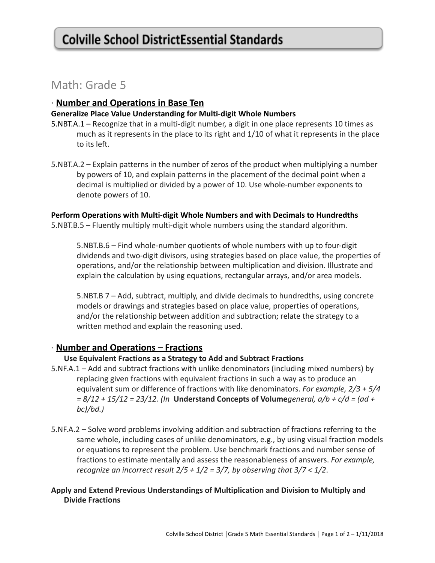# Math: Grade 5

# **∙ Number and Operations in Base Ten**

#### **Generalize Place Value Understanding for Multi-digit Whole Numbers**

- 5.NBT.A.1 Recognize that in a multi-digit number, a digit in one place represents 10 times as much as it represents in the place to its right and 1/10 of what it represents in the place to its left.
- 5.NBT.A.2 Explain patterns in the number of zeros of the product when multiplying a number by powers of 10, and explain patterns in the placement of the decimal point when a decimal is multiplied or divided by a power of 10. Use whole-number exponents to denote powers of 10.

#### **Perform Operations with Multi-digit Whole Numbers and with Decimals to Hundredths**

5.NBT.B.5 – Fluently multiply multi-digit whole numbers using the standard algorithm.

5.NBT.B.6 – Find whole-number quotients of whole numbers with up to four-digit dividends and two-digit divisors, using strategies based on place value, the properties of operations, and/or the relationship between multiplication and division. Illustrate and explain the calculation by using equations, rectangular arrays, and/or area models.

5.NBT.B 7 – Add, subtract, multiply, and divide decimals to hundredths, using concrete models or drawings and strategies based on place value, properties of operations, and/or the relationship between addition and subtraction; relate the strategy to a written method and explain the reasoning used.

# **∙ Number and Operations – Fractions**

#### **Use Equivalent Fractions as a Strategy to Add and Subtract Fractions**

- 5.NF.A.1 Add and subtract fractions with unlike denominators (including mixed numbers) by replacing given fractions with equivalent fractions in such a way as to produce an equivalent sum or difference of fractions with like denominators. *For example, 2/3 + 5/4 = 8/12 + 15/12 = 23/12. (In* **Understand Concepts of Volume***general, a/b + c/d = (ad + bc)/bd.)*
- 5.NF.A.2 Solve word problems involving addition and subtraction of fractions referring to the same whole, including cases of unlike denominators, e.g., by using visual fraction models or equations to represent the problem. Use benchmark fractions and number sense of fractions to estimate mentally and assess the reasonableness of answers. *For example, recognize an incorrect result 2/5 + 1/2 = 3/7, by observing that 3/7 < 1/2*.

# **Apply and Extend Previous Understandings of Multiplication and Division to Multiply and Divide Fractions**